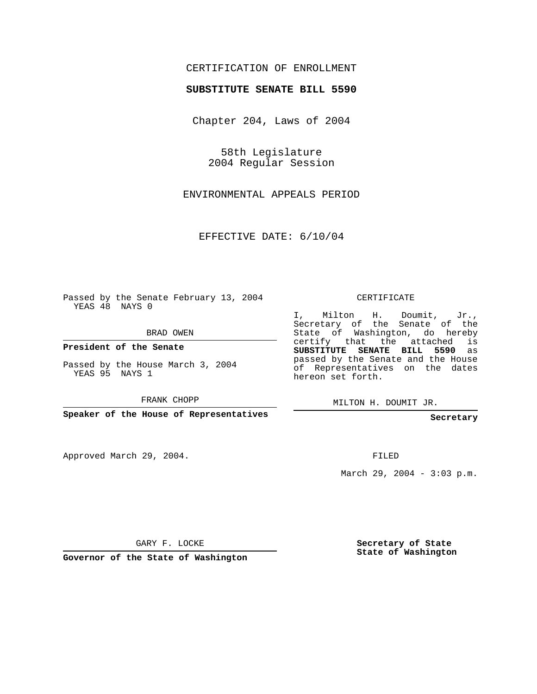## CERTIFICATION OF ENROLLMENT

## **SUBSTITUTE SENATE BILL 5590**

Chapter 204, Laws of 2004

58th Legislature 2004 Regular Session

ENVIRONMENTAL APPEALS PERIOD

EFFECTIVE DATE: 6/10/04

Passed by the Senate February 13, 2004 YEAS 48 NAYS 0

BRAD OWEN

**President of the Senate**

Passed by the House March 3, 2004 YEAS 95 NAYS 1

FRANK CHOPP

**Speaker of the House of Representatives**

Approved March 29, 2004.

CERTIFICATE

I, Milton H. Doumit, Jr., Secretary of the Senate of the State of Washington, do hereby certify that the attached is **SUBSTITUTE SENATE BILL 5590** as passed by the Senate and the House of Representatives on the dates hereon set forth.

MILTON H. DOUMIT JR.

**Secretary**

FILED

March 29, 2004 - 3:03 p.m.

GARY F. LOCKE

**Governor of the State of Washington**

**Secretary of State State of Washington**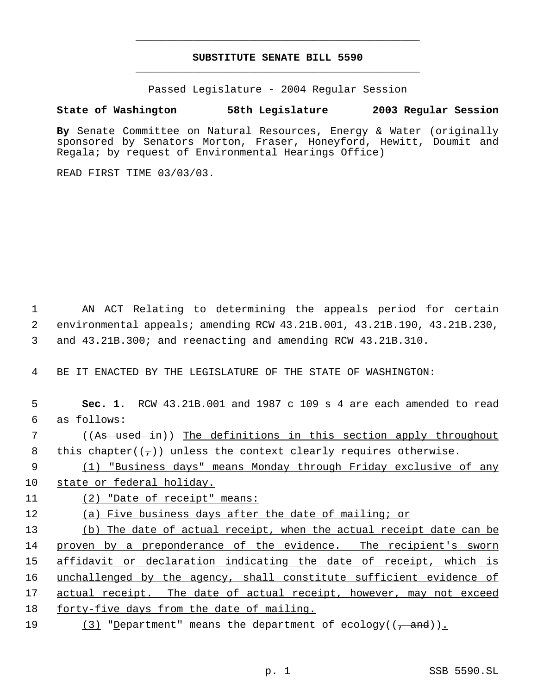## **SUBSTITUTE SENATE BILL 5590** \_\_\_\_\_\_\_\_\_\_\_\_\_\_\_\_\_\_\_\_\_\_\_\_\_\_\_\_\_\_\_\_\_\_\_\_\_\_\_\_\_\_\_\_\_

\_\_\_\_\_\_\_\_\_\_\_\_\_\_\_\_\_\_\_\_\_\_\_\_\_\_\_\_\_\_\_\_\_\_\_\_\_\_\_\_\_\_\_\_\_

Passed Legislature - 2004 Regular Session

## **State of Washington 58th Legislature 2003 Regular Session**

**By** Senate Committee on Natural Resources, Energy & Water (originally sponsored by Senators Morton, Fraser, Honeyford, Hewitt, Doumit and Regala; by request of Environmental Hearings Office)

READ FIRST TIME 03/03/03.

 1 AN ACT Relating to determining the appeals period for certain 2 environmental appeals; amending RCW 43.21B.001, 43.21B.190, 43.21B.230, 3 and 43.21B.300; and reenacting and amending RCW 43.21B.310.

4 BE IT ENACTED BY THE LEGISLATURE OF THE STATE OF WASHINGTON:

| 5  | RCW 43.21B.001 and 1987 c 109 s 4 are each amended to read<br>Sec. 1.      |
|----|----------------------------------------------------------------------------|
| 6  | as follows:                                                                |
| 7  | ((As used in)) The definitions in this section apply throughout            |
| 8  | this chapter( $(\tau)$ ) unless the context clearly requires otherwise.    |
| 9  | (1) "Business days" means Monday through Friday exclusive of any           |
| 10 | state or federal holiday.                                                  |
| 11 | (2) "Date of receipt" means:                                               |
| 12 | (a) Five business days after the date of mailing; or                       |
| 13 | (b) The date of actual receipt, when the actual receipt date can be        |
| 14 | proven by a preponderance of the evidence. The recipient's sworn           |
| 15 | affidavit or declaration indicating the date of receipt, which is          |
| 16 | unchallenged by the agency, shall constitute sufficient evidence of        |
| 17 | actual receipt. The date of actual receipt, however, may not exceed        |
| 18 | forty-five days from the date of mailing.                                  |
| 19 | (3) "Department" means the department of ecology( $(\frac{1}{\tau}$ and)). |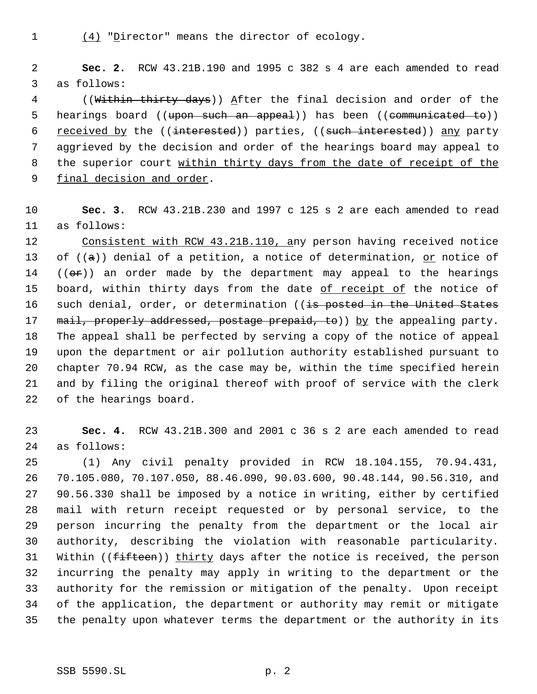(4) "Director" means the director of ecology.

 **Sec. 2.** RCW 43.21B.190 and 1995 c 382 s 4 are each amended to read as follows:

4 ((Within thirty days)) After the final decision and order of the 5 hearings board ((<del>upon such an appeal</del>)) has been ((<del>communicated to</del>)) 6 received by the ((interested)) parties, ((such interested)) any party aggrieved by the decision and order of the hearings board may appeal to the superior court within thirty days from the date of receipt of the final decision and order.

 **Sec. 3.** RCW 43.21B.230 and 1997 c 125 s 2 are each amended to read as follows:

 Consistent with RCW 43.21B.110, any person having received notice 13 of  $((a))$  denial of a petition, a notice of determination, or notice of  $((\theta \cdot \hat{r}))$  an order made by the department may appeal to the hearings 15 board, within thirty days from the date of receipt of the notice of 16 such denial, order, or determination ((is posted in the United States 17 mail, properly addressed, postage prepaid, to)) by the appealing party. The appeal shall be perfected by serving a copy of the notice of appeal upon the department or air pollution authority established pursuant to chapter 70.94 RCW, as the case may be, within the time specified herein and by filing the original thereof with proof of service with the clerk of the hearings board.

 **Sec. 4.** RCW 43.21B.300 and 2001 c 36 s 2 are each amended to read as follows:

 (1) Any civil penalty provided in RCW 18.104.155, 70.94.431, 70.105.080, 70.107.050, 88.46.090, 90.03.600, 90.48.144, 90.56.310, and 90.56.330 shall be imposed by a notice in writing, either by certified mail with return receipt requested or by personal service, to the person incurring the penalty from the department or the local air authority, describing the violation with reasonable particularity. 31 Within ((fifteen)) thirty days after the notice is received, the person incurring the penalty may apply in writing to the department or the authority for the remission or mitigation of the penalty. Upon receipt of the application, the department or authority may remit or mitigate the penalty upon whatever terms the department or the authority in its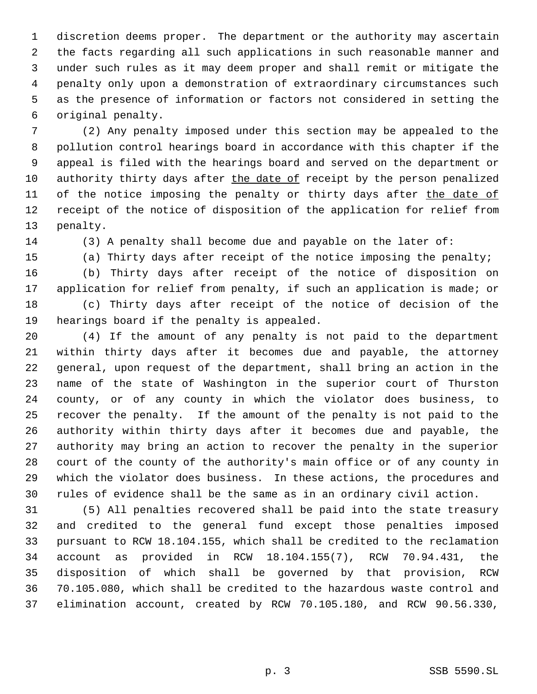discretion deems proper. The department or the authority may ascertain the facts regarding all such applications in such reasonable manner and under such rules as it may deem proper and shall remit or mitigate the penalty only upon a demonstration of extraordinary circumstances such as the presence of information or factors not considered in setting the original penalty.

 (2) Any penalty imposed under this section may be appealed to the pollution control hearings board in accordance with this chapter if the appeal is filed with the hearings board and served on the department or 10 authority thirty days after the date of receipt by the person penalized 11 of the notice imposing the penalty or thirty days after the date of receipt of the notice of disposition of the application for relief from penalty.

(3) A penalty shall become due and payable on the later of:

(a) Thirty days after receipt of the notice imposing the penalty;

 (b) Thirty days after receipt of the notice of disposition on application for relief from penalty, if such an application is made; or (c) Thirty days after receipt of the notice of decision of the hearings board if the penalty is appealed.

 (4) If the amount of any penalty is not paid to the department within thirty days after it becomes due and payable, the attorney general, upon request of the department, shall bring an action in the name of the state of Washington in the superior court of Thurston county, or of any county in which the violator does business, to recover the penalty. If the amount of the penalty is not paid to the authority within thirty days after it becomes due and payable, the authority may bring an action to recover the penalty in the superior court of the county of the authority's main office or of any county in which the violator does business. In these actions, the procedures and rules of evidence shall be the same as in an ordinary civil action.

 (5) All penalties recovered shall be paid into the state treasury and credited to the general fund except those penalties imposed pursuant to RCW 18.104.155, which shall be credited to the reclamation account as provided in RCW 18.104.155(7), RCW 70.94.431, the disposition of which shall be governed by that provision, RCW 70.105.080, which shall be credited to the hazardous waste control and elimination account, created by RCW 70.105.180, and RCW 90.56.330,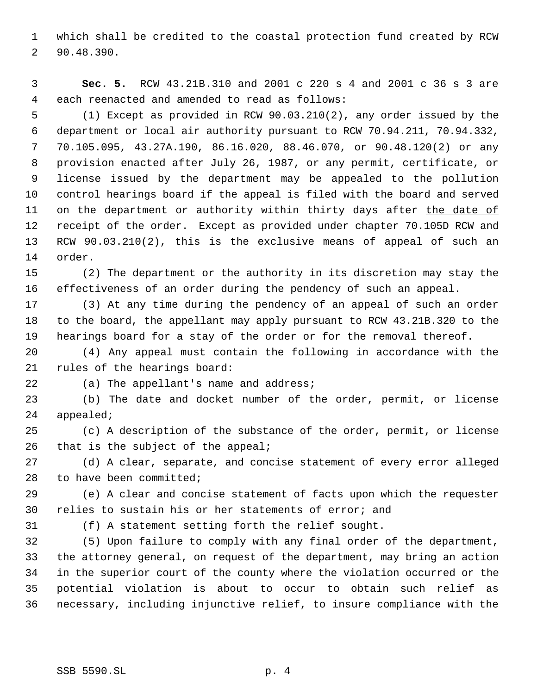which shall be credited to the coastal protection fund created by RCW 90.48.390.

 **Sec. 5.** RCW 43.21B.310 and 2001 c 220 s 4 and 2001 c 36 s 3 are each reenacted and amended to read as follows:

 (1) Except as provided in RCW 90.03.210(2), any order issued by the department or local air authority pursuant to RCW 70.94.211, 70.94.332, 70.105.095, 43.27A.190, 86.16.020, 88.46.070, or 90.48.120(2) or any provision enacted after July 26, 1987, or any permit, certificate, or license issued by the department may be appealed to the pollution control hearings board if the appeal is filed with the board and served 11 on the department or authority within thirty days after the date of receipt of the order. Except as provided under chapter 70.105D RCW and RCW 90.03.210(2), this is the exclusive means of appeal of such an order.

 (2) The department or the authority in its discretion may stay the effectiveness of an order during the pendency of such an appeal.

 (3) At any time during the pendency of an appeal of such an order to the board, the appellant may apply pursuant to RCW 43.21B.320 to the hearings board for a stay of the order or for the removal thereof.

 (4) Any appeal must contain the following in accordance with the rules of the hearings board:

(a) The appellant's name and address;

 (b) The date and docket number of the order, permit, or license appealed;

 (c) A description of the substance of the order, permit, or license 26 that is the subject of the appeal;

 (d) A clear, separate, and concise statement of every error alleged to have been committed;

 (e) A clear and concise statement of facts upon which the requester relies to sustain his or her statements of error; and

(f) A statement setting forth the relief sought.

 (5) Upon failure to comply with any final order of the department, the attorney general, on request of the department, may bring an action in the superior court of the county where the violation occurred or the potential violation is about to occur to obtain such relief as necessary, including injunctive relief, to insure compliance with the